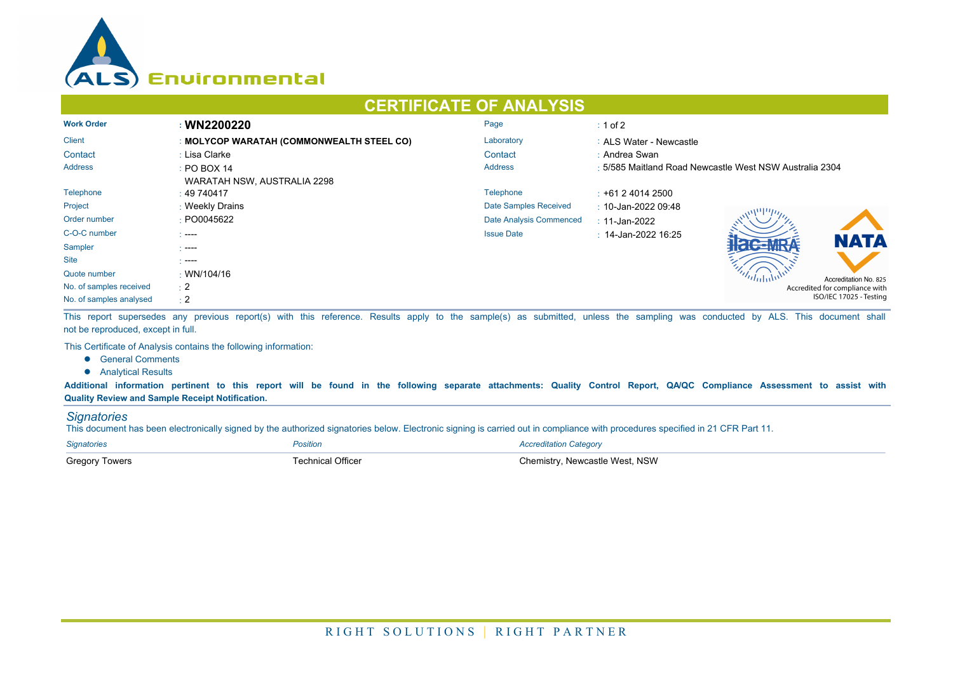

## **CERTIFICATE OF ANALYSIS**

| <b>Work Order</b>       | : WN2200220                               | Page                         | $\div$ 1 of 2                                           |  |  |
|-------------------------|-------------------------------------------|------------------------------|---------------------------------------------------------|--|--|
| <b>Client</b>           | : MOLYCOP WARATAH (COMMONWEALTH STEEL CO) | Laboratory                   | : ALS Water - Newcastle                                 |  |  |
| Contact                 | : Lisa Clarke                             | Contact                      | : Andrea Swan                                           |  |  |
| <b>Address</b>          | $\div$ PO BOX 14                          | <b>Address</b>               | : 5/585 Maitland Road Newcastle West NSW Australia 2304 |  |  |
|                         | WARATAH NSW, AUSTRALIA 2298               |                              |                                                         |  |  |
| Telephone               | : 49740417                                | Telephone                    | $\pm$ +61 2 4014 2500                                   |  |  |
| Project                 | : Weekly Drains                           | <b>Date Samples Received</b> | $\therefore$ 10-Jan-2022 09:48                          |  |  |
| Order number            | : PO0045622                               | Date Analysis Commenced      | : 11-Jan-2022                                           |  |  |
| C-O-C number            | - ----                                    | <b>Issue Date</b>            | $\pm$ 14-Jan-2022 16:25                                 |  |  |
| Sampler                 | $\sim$ ----                               |                              | <b>NATA</b>                                             |  |  |
| <b>Site</b>             | - ----                                    |                              |                                                         |  |  |
| Quote number            | $\cdot$ WN/104/16                         |                              | Accreditation No. 825                                   |  |  |
| No. of samples received | $\pm 2$                                   |                              | Accredited for compliance with                          |  |  |
| No. of samples analysed | $\div 2$                                  |                              | ISO/IEC 17025 - Testing                                 |  |  |

This report supersedes any previous report(s) with this reference. Results apply to the sample(s) as submitted, unless the sampling was conducted by ALS. This document shall not be reproduced, except in full.

This Certificate of Analysis contains the following information:

- **•** General Comments
- **•** Analytical Results

**Additional information pertinent to this report will be found in the following separate attachments: Quality Control Report, QA/QC Compliance Assessment to assist with Quality Review and Sample Receipt Notification.**

## *Signatories*

This document has been electronically signed by the authorized signatories below. Electronic signing is carried out in compliance with procedures specified in 21 CFR Part 11.

| <b>Signatories</b>    | <i><b>'osition</b></i> | Accreditation Category          |
|-----------------------|------------------------|---------------------------------|
| <b>Gregory Towers</b> | echnical Officer       | วิhemistrv. Newcastle West. NSW |